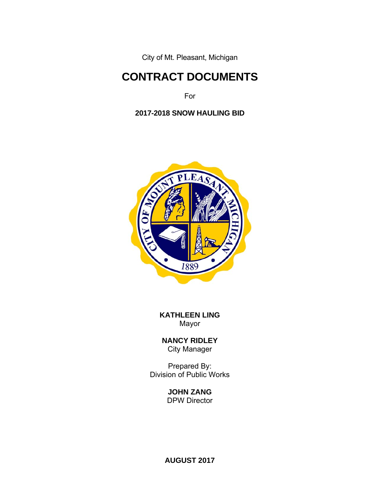City of Mt. Pleasant, Michigan

# **CONTRACT DOCUMENTS**

For

**2017-2018 SNOW HAULING BID** 



**KATHLEEN LING**  Mayor

**NANCY RIDLEY** City Manager

Prepared By: Division of Public Works

**JOHN ZANG** 

DPW Director

**AUGUST 2017**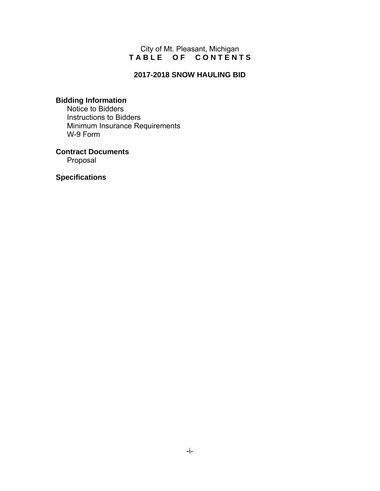### City of Mt. Pleasant, Michigan **T A B L E O F C O N T E N T S**

## **2017-2018 SNOW HAULING BID**

# **Bidding Information**

 Notice to Bidders Instructions to Bidders Minimum Insurance Requirements W-9 Form

**Contract Documents** Proposal

**Specifications**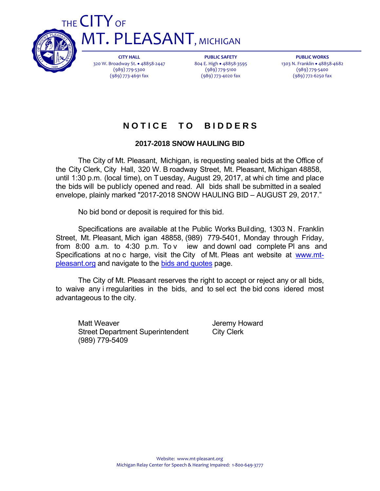

THE CITY OF **MT. PLEASANT, MICHIGAN** 

> **CITY HALL** 320 W. Broadway St. 48858‐2447 (989) 779‐5300 (989) 773‐4691 fax

**PUBLIC SAFETY** 804 E. High · 48858-3595 (989) 779‐5100 (989) 773‐4020 fax

**PUBLIC WORKS** 1303 N. Franklin · 48858-4682 (989) 779‐5400 (989) 772‐6250 fax

# **N O T I C E T O B I D D E R S**

# **2017-2018 SNOW HAULING BID**

 The City of Mt. Pleasant, Michigan, is requesting sealed bids at the Office of the City Clerk, City Hall, 320 W. B roadway Street, Mt. Pleasant, Michigan 48858, until 1:30 p.m. (local time), on T uesday, August 29, 2017, at whi ch time and place the bids will be publicly opened and read. All bids shall be submitted in a sealed envelope, plainly marked "2017-2018 SNOW HAULING BID – AUGUST 29, 2017."

No bid bond or deposit is required for this bid.

 Specifications are available at the Public Works Building, 1303 N. Franklin Street, Mt. Pleasant, Mich igan 48858, (989) 779-5401, Monday through Friday, from 8:00 a.m. to 4:30 p.m. To v iew and downl oad complete Pl ans and Specifications at no c harge, visit the City of Mt. Pleas ant website at www.mtpleasant.org and navigate to the bids and quotes page.

 The City of Mt. Pleasant reserves the right to accept or reject any or all bids, to waive any i rregularities in the bids, and to sel ect the bid cons idered most advantageous to the city.

Matt Weaver **Matt Weaver Jeremy Howard** Street Department Superintendent City Clerk (989) 779-5409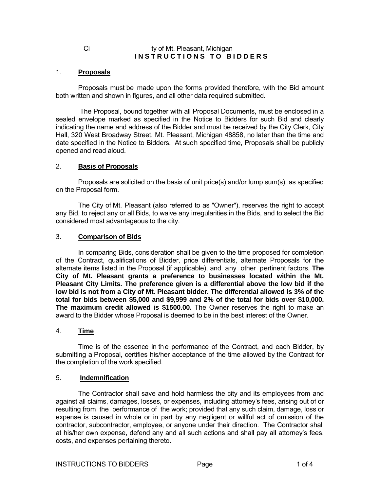#### Ci ty of Mt. Pleasant, Michigan **INSTRUCTIONS TO BIDDERS**

#### 1. **Proposals**

 Proposals must be made upon the forms provided therefore, with the Bid amount both written and shown in figures, and all other data required submitted.

 The Proposal, bound together with all Proposal Documents, must be enclosed in a sealed envelope marked as specified in the Notice to Bidders for such Bid and clearly indicating the name and address of the Bidder and must be received by the City Clerk, City Hall, 320 West Broadway Street, Mt. Pleasant, Michigan 48858, no later than the time and date specified in the Notice to Bidders. At such specified time, Proposals shall be publicly opened and read aloud.

#### 2. **Basis of Proposals**

 Proposals are solicited on the basis of unit price(s) and/or lump sum(s), as specified on the Proposal form.

 The City of Mt. Pleasant (also referred to as "Owner"), reserves the right to accept any Bid, to reject any or all Bids, to waive any irregularities in the Bids, and to select the Bid considered most advantageous to the city.

#### 3. **Comparison of Bids**

 In comparing Bids, consideration shall be given to the time proposed for completion of the Contract, qualifications of Bidder, price differentials, alternate Proposals for the alternate items listed in the Proposal (if applicable), and any other pertinent factors. **The City of Mt. Pleasant grants a preference to businesses located within the Mt. Pleasant City Limits. The preference given is a differential above the low bid if the low bid is not from a City of Mt. Pleasant bidder. The differential allowed is 3% of the total for bids between \$5,000 and \$9,999 and 2% of the total for bids over \$10,000. The maximum credit allowed is \$1500.00.** The Owner reserves the right to make an award to the Bidder whose Proposal is deemed to be in the best interest of the Owner.

#### 4. **Time**

Time is of the essence in the performance of the Contract, and each Bidder, by submitting a Proposal, certifies his/her acceptance of the time allowed by the Contract for the completion of the work specified.

#### 5. **Indemnification**

 The Contractor shall save and hold harmless the city and its employees from and against all claims, damages, losses, or expenses, including attorney's fees, arising out of or resulting from the performance of the work; provided that any such claim, damage, loss or expense is caused in whole or in part by any negligent or willful act of omission of the contractor, subcontractor, employee, or anyone under their direction. The Contractor shall at his/her own expense, defend any and all such actions and shall pay all attorney's fees, costs, and expenses pertaining thereto.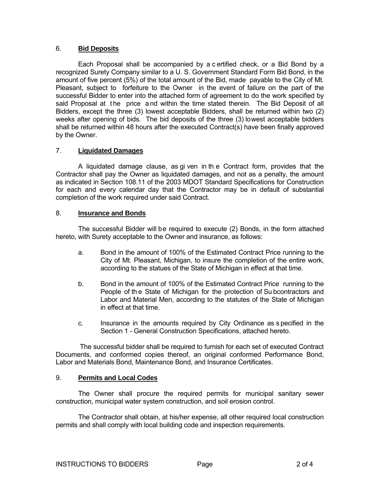#### 6. **Bid Deposits**

 Each Proposal shall be accompanied by a c ertified check, or a Bid Bond by a recognized Surety Company similar to a U. S. Government Standard Form Bid Bond, in the amount of five percent (5%) of the total amount of the Bid, made payable to the City of Mt. Pleasant, subject to forfeiture to the Owner in the event of failure on the part of the successful Bidder to enter into the attached form of agreement to do the work specified by said Proposal at the price and within the time stated therein. The Bid Deposit of all Bidders, except the three (3) lowest acceptable Bidders, shall be returned within two (2) weeks after opening of bids. The bid deposits of the three (3) lowest acceptable bidders shall be returned within 48 hours after the executed Contract(s) have been finally approved by the Owner.

#### 7. **Liquidated Damages**

 A liquidated damage clause, as gi ven in th e Contract form, provides that the Contractor shall pay the Owner as liquidated damages, and not as a penalty, the amount as indicated in Section 108.11 of the 2003 MDOT Standard Specifications for Construction for each and every calendar day that the Contractor may be in default of substantial completion of the work required under said Contract.

#### 8. **Insurance and Bonds**

 The successful Bidder will be required to execute (2) Bonds, in the form attached hereto, with Surety acceptable to the Owner and insurance, as follows:

- a. Bond in the amount of 100% of the Estimated Contract Price running to the City of Mt. Pleasant, Michigan, to insure the completion of the entire work, according to the statues of the State of Michigan in effect at that time.
- b. Bond in the amount of 100% of the Estimated Contract Price running to the People of the State of Michigan for the protection of Su bcontractors and Labor and Material Men, according to the statutes of the State of Michigan in effect at that time.
- c. Insurance in the amounts required by City Ordinance as s pecified in the Section 1 - General Construction Specifications, attached hereto.

 The successful bidder shall be required to furnish for each set of executed Contract Documents, and conformed copies thereof, an original conformed Performance Bond, Labor and Materials Bond, Maintenance Bond, and Insurance Certificates.

#### 9. **Permits and Local Codes**

The Owner shall procure the required permits for municipal sanitary sewer construction, municipal water system construction, and soil erosion control.

 The Contractor shall obtain, at his/her expense, all other required local construction permits and shall comply with local building code and inspection requirements.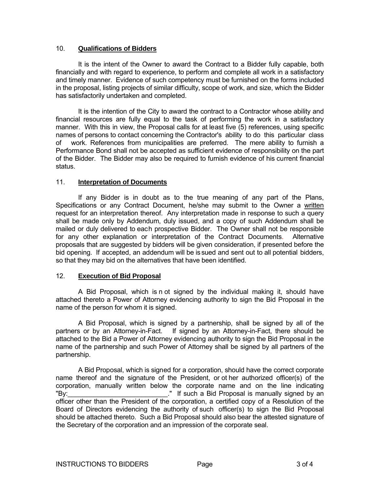#### 10. **Qualifications of Bidders**

 It is the intent of the Owner to award the Contract to a Bidder fully capable, both financially and with regard to experience, to perform and complete all work in a satisfactory and timely manner. Evidence of such competency must be furnished on the forms included in the proposal, listing projects of similar difficulty, scope of work, and size, which the Bidder has satisfactorily undertaken and completed.

 It is the intention of the City to award the contract to a Contractor whose ability and financial resources are fully equal to the task of performing the work in a satisfactory manner. With this in view, the Proposal calls for at least five (5) references, using specific names of persons to contact concerning the Contractor's ability to do this particular class of work. References from municipalities are preferred. The mere ability to furnish a Performance Bond shall not be accepted as sufficient evidence of responsibility on the part of the Bidder. The Bidder may also be required to furnish evidence of his current financial status.

#### 11. **Interpretation of Documents**

 If any Bidder is in doubt as to the true meaning of any part of the Plans, Specifications or any Contract Document, he/she may submit to the Owner a written request for an interpretation thereof. Any interpretation made in response to such a query shall be made only by Addendum, duly issued, and a copy of such Addendum shall be mailed or duly delivered to each prospective Bidder. The Owner shall not be responsible for any other explanation or interpretation of the Contract Documents. Alternative proposals that are suggested by bidders will be given consideration, if presented before the bid opening. If accepted, an addendum will be issued and sent out to all potential bidders, so that they may bid on the alternatives that have been identified.

#### 12. **Execution of Bid Proposal**

 A Bid Proposal, which is n ot signed by the individual making it, should have attached thereto a Power of Attorney evidencing authority to sign the Bid Proposal in the name of the person for whom it is signed.

 A Bid Proposal, which is signed by a partnership, shall be signed by all of the partners or by an Attorney-in-Fact. If signed by an Attorney-in-Fact, there should be attached to the Bid a Power of Attorney evidencing authority to sign the Bid Proposal in the name of the partnership and such Power of Attorney shall be signed by all partners of the partnership.

 A Bid Proposal, which is signed for a corporation, should have the correct corporate name thereof and the signature of the President, or ot her authorized officer(s) of the corporation, manually written below the corporate name and on the line indicating "By: "By: "If such a Bid Proposal is manually signed by an officer other than the President of the corporation, a certified copy of a Resolution of the Board of Directors evidencing the authority of such officer(s) to sign the Bid Proposal should be attached thereto. Such a Bid Proposal should also bear the attested signature of the Secretary of the corporation and an impression of the corporate seal.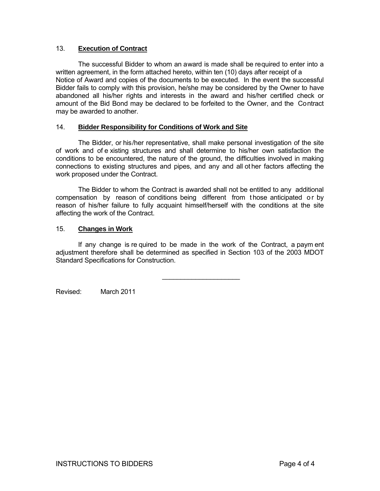#### 13. **Execution of Contract**

 The successful Bidder to whom an award is made shall be required to enter into a written agreement, in the form attached hereto, within ten (10) days after receipt of a Notice of Award and copies of the documents to be executed. In the event the successful Bidder fails to comply with this provision, he/she may be considered by the Owner to have abandoned all his/her rights and interests in the award and his/her certified check or amount of the Bid Bond may be declared to be forfeited to the Owner, and the Contract may be awarded to another.

#### 14. **Bidder Responsibility for Conditions of Work and Site**

 The Bidder, or his/her representative, shall make personal investigation of the site of work and of e xisting structures and shall determine to his/her own satisfaction the conditions to be encountered, the nature of the ground, the difficulties involved in making connections to existing structures and pipes, and any and all ot her factors affecting the work proposed under the Contract.

 The Bidder to whom the Contract is awarded shall not be entitled to any additional compensation by reason of conditions being different from those anticipated or by reason of his/her failure to fully acquaint himself/herself with the conditions at the site affecting the work of the Contract.

#### 15. **Changes in Work**

 If any change is re quired to be made in the work of the Contract, a paym ent adjustment therefore shall be determined as specified in Section 103 of the 2003 MDOT Standard Specifications for Construction.

\_\_\_\_\_\_\_\_\_\_\_\_\_\_\_\_\_\_\_\_\_

Revised: March 2011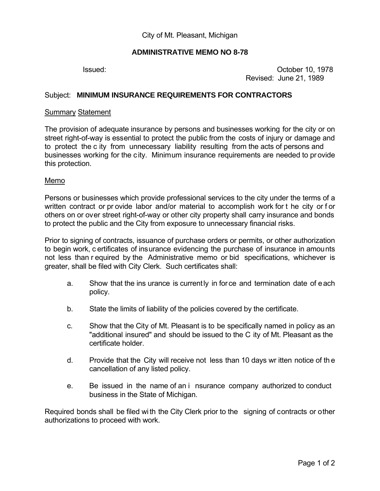## **ADMINISTRATIVE MEMO NO 8-78**

 Issued: October 10, 1978 Revised: June 21, 1989

## Subject: **MINIMUM INSURANCE REQUIREMENTS FOR CONTRACTORS**

#### **Summary Statement**

The provision of adequate insurance by persons and businesses working for the city or on street right-of-way is essential to protect the public from the costs of injury or damage and to protect the c ity from unnecessary liability resulting from the acts of persons and businesses working for the city. Minimum insurance requirements are needed to provide this protection.

#### Memo

Persons or businesses which provide professional services to the city under the terms of a written contract or pr ovide labor and/or material to accomplish work for t he city or f or others on or over street right-of-way or other city property shall carry insurance and bonds to protect the public and the City from exposure to unnecessary financial risks.

Prior to signing of contracts, issuance of purchase orders or permits, or other authorization to begin work, c ertificates of insurance evidencing the purchase of insurance in amounts not less than r equired by the Administrative memo or bid specifications, whichever is greater, shall be filed with City Clerk. Such certificates shall:

- a. Show that the ins urance is currently in force and termination date of each policy.
- b. State the limits of liability of the policies covered by the certificate.
- c. Show that the City of Mt. Pleasant is to be specifically named in policy as an "additional insured" and should be issued to the C ity of Mt. Pleasant as the certificate holder.
- d. Provide that the City will receive not less than 10 days wr itten notice of th e cancellation of any listed policy.
- e. Be issued in the name of an i nsurance company authorized to conduct business in the State of Michigan.

Required bonds shall be filed wi th the City Clerk prior to the signing of contracts or other authorizations to proceed with work.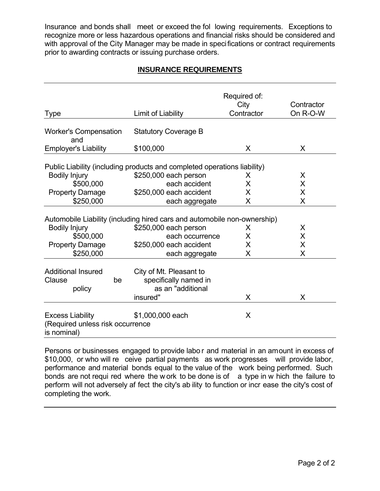Insurance and bonds shall meet or exceed the fol lowing requirements. Exceptions to recognize more or less hazardous operations and financial risks should be considered and with approval of the City Manager may be made in specifications or contract requirements prior to awarding contracts or issuing purchase orders.

# **INSURANCE REQUIREMENTS**

| <b>Type</b>                                                                | Limit of Liability                                                                                | Required of:<br>City<br>Contractor | Contractor<br>On R-O-W |  |  |
|----------------------------------------------------------------------------|---------------------------------------------------------------------------------------------------|------------------------------------|------------------------|--|--|
| <b>Worker's Compensation</b><br>and                                        | <b>Statutory Coverage B</b>                                                                       |                                    |                        |  |  |
| <b>Employer's Liability</b>                                                | \$100,000                                                                                         | X                                  |                        |  |  |
| <b>Bodily Injury</b>                                                       | Public Liability (including products and completed operations liability)<br>\$250,000 each person | X                                  | X                      |  |  |
| \$500,000                                                                  | each accident                                                                                     | X                                  | X                      |  |  |
| <b>Property Damage</b>                                                     | \$250,000 each accident                                                                           | Χ                                  | X                      |  |  |
| \$250,000                                                                  | each aggregate                                                                                    | X                                  | X                      |  |  |
|                                                                            | Automobile Liability (including hired cars and automobile non-ownership)                          |                                    |                        |  |  |
| <b>Bodily Injury</b>                                                       | \$250,000 each person                                                                             | X                                  | X                      |  |  |
| \$500,000                                                                  | each occurrence                                                                                   | X                                  | X                      |  |  |
| <b>Property Damage</b>                                                     | \$250,000 each accident                                                                           | X                                  | X                      |  |  |
| \$250,000                                                                  | each aggregate                                                                                    | X                                  | X                      |  |  |
| <b>Additional Insured</b><br>Clause<br>be<br>policy                        | City of Mt. Pleasant to<br>specifically named in<br>as an "additional<br>insured"                 | X                                  | X                      |  |  |
| <b>Excess Liability</b><br>(Required unless risk occurrence<br>is nominal) | \$1,000,000 each                                                                                  | X                                  |                        |  |  |

Persons or businesses engaged to provide labo r and material in an amount in excess of \$10,000, or who will re ceive partial payments as work progresses will provide labor, performance and material bonds equal to the value of the work being performed. Such bonds are not requi red where the w ork to be done is of a type in w hich the failure to perform will not adversely af fect the city's ab ility to function or incr ease the city's cost of completing the work.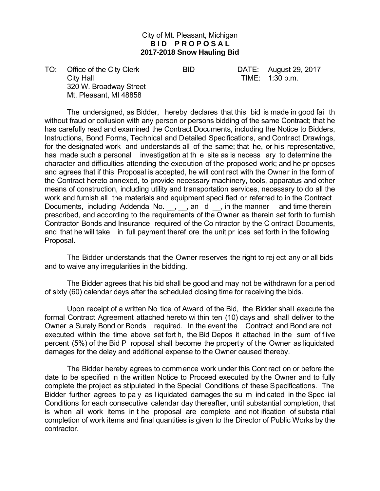## City of Mt. Pleasant, Michigan **BID PROPOSAL 2017-2018 Snow Hauling Bid**

TO: Office of the City Clerk BID BID DATE: August 29, 2017 City Hall City Hall City Hall City Hall City Hall City Hall City Hall City Hall City Hall City Hall City Hall City Hall City Hall City Hall City Hall City Hall City Hall City Hall City Hall City Hall City Hall City Hall Ci 320 W. Broadway Street Mt. Pleasant, MI 48858

 The undersigned, as Bidder, hereby declares that this bid is made in good fai th without fraud or collusion with any person or persons bidding of the same Contract; that he has carefully read and examined the Contract Documents, including the Notice to Bidders, Instructions, Bond Forms, Technical and Detailed Specifications, and Contract Drawings, for the designated work and understands all of the same; that he, or his representative, has made such a personal investigation at th e site as is necess ary to determine the character and difficulties attending the execution of the proposed work; and he pr oposes and agrees that if this Proposal is accepted, he will cont ract with the Owner in the form of the Contract hereto annexed, to provide necessary machinery, tools, apparatus and other means of construction, including utility and transportation services, necessary to do all the work and furnish all the materials and equipment speci fied or referred to in the Contract Documents, including Addenda No. J. an d J. in the manner and time therein prescribed, and according to the requirements of the Owner as therein set forth to furnish Contractor Bonds and Insurance required of the Co ntractor by the C ontract Documents, and that he will take in full payment theref ore the unit pr ices set forth in the following Proposal.

 The Bidder understands that the Owner reserves the right to rej ect any or all bids and to waive any irregularities in the bidding.

 The Bidder agrees that his bid shall be good and may not be withdrawn for a period of sixty (60) calendar days after the scheduled closing time for receiving the bids.

 Upon receipt of a written No tice of Award of the Bid, the Bidder shall execute the formal Contract Agreement attached hereto wi thin ten (10) days and shall deliver to the Owner a Surety Bond or Bonds required. In the event the Contract and Bond are not executed within the time above set fort h, the Bid Depos it attached in the sum of f ive percent (5%) of the Bid P roposal shall become the property of the Owner as liquidated damages for the delay and additional expense to the Owner caused thereby.

 The Bidder hereby agrees to commence work under this Contract on or before the date to be specified in the written Notice to Proceed executed by the Owner and to fully complete the project as stipulated in the Special Conditions of these Specifications. The Bidder further agrees to pa y as l iquidated damages the su m indicated in the Spec ial Conditions for each consecutive calendar day thereafter, until substantial completion, that is when all work items in t he proposal are complete and not ification of substa ntial completion of work items and final quantities is given to the Director of Public Works by the contractor.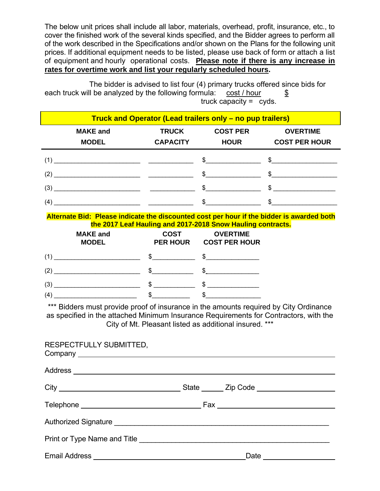The below unit prices shall include all labor, materials, overhead, profit, insurance, etc., to cover the finished work of the several kinds specified, and the Bidder agrees to perform all of the work described in the Specifications and/or shown on the Plans for the following unit prices. If additional equipment needs to be listed, please use back of form or attach a list of equipment and hourly operational costs. **Please note if there is any increase in rates for overtime work and list your regularly scheduled hours.** 

 The bidder is advised to list four (4) primary trucks offered since bids for each truck will be analyzed by the following formula:  $\cosh / \hbar$ our  $\sinh$ truck capacity = cyds.

| Truck and Operator (Lead trailers only – no pup trailers) |                                 |                                 |                                |                                                                                                                                                                                                                                                                                                                                                                                                                          |  |
|-----------------------------------------------------------|---------------------------------|---------------------------------|--------------------------------|--------------------------------------------------------------------------------------------------------------------------------------------------------------------------------------------------------------------------------------------------------------------------------------------------------------------------------------------------------------------------------------------------------------------------|--|
|                                                           | <b>MAKE and</b><br><b>MODEL</b> | <b>TRUCK</b><br><b>CAPACITY</b> | <b>COST PER</b><br><b>HOUR</b> | <b>OVERTIME</b><br><b>COST PER HOUR</b>                                                                                                                                                                                                                                                                                                                                                                                  |  |
|                                                           |                                 | (1)                             |                                | $\sim$ \$                                                                                                                                                                                                                                                                                                                                                                                                                |  |
| (2)                                                       |                                 |                                 | $\mathbb{S}$                   | $\sim$                                                                                                                                                                                                                                                                                                                                                                                                                   |  |
|                                                           |                                 | (3)                             | $\mathfrak{S}$                 | $\begin{array}{c c c c c} \hline \texttt{S} & \texttt{S} & \texttt{S} & \texttt{S} & \texttt{S} & \texttt{S} & \texttt{S} & \texttt{S} & \texttt{S} & \texttt{S} & \texttt{S} & \texttt{S} & \texttt{S} & \texttt{S} & \texttt{S} & \texttt{S} & \texttt{S} & \texttt{S} & \texttt{S} & \texttt{S} & \texttt{S} & \texttt{S} & \texttt{S} & \texttt{S} & \texttt{S} & \texttt{S} & \texttt{S} & \texttt{S} & \texttt{S}$ |  |
| (4)                                                       |                                 |                                 | $\mathbb{S}$                   | $\mathbb{S}$                                                                                                                                                                                                                                                                                                                                                                                                             |  |

**Alternate Bid: Please indicate the discounted cost per hour if the bidder is awarded both the 2017 Leaf Hauling and 2017-2018 Snow Hauling contracts.**

|     | <b>MAKE and</b><br><b>MODEL</b>                    | <b>COST</b><br><b>PER HOUR</b> | <b>OVERTIME</b><br><b>COST PER HOUR</b> |  |
|-----|----------------------------------------------------|--------------------------------|-----------------------------------------|--|
| (1  |                                                    |                                |                                         |  |
| (2) | <u> 1980 - John Stein, Amerikaansk politiker (</u> |                                |                                         |  |
| (3  |                                                    |                                | S                                       |  |
| (4  |                                                    |                                |                                         |  |

\*\*\* Bidders must provide proof of insurance in the amounts required by City Ordinance as specified in the attached Minimum Insurance Requirements for Contractors, with the City of Mt. Pleasant listed as additional insured. \*\*\*

| RESPECTFULLY SUBMITTED, |  |
|-------------------------|--|
|                         |  |
|                         |  |
|                         |  |
|                         |  |
|                         |  |
|                         |  |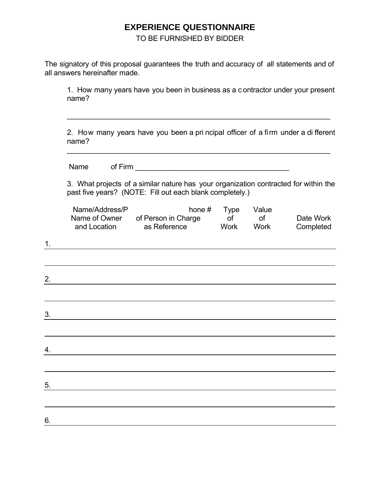# **EXPERIENCE QUESTIONNAIRE**

TO BE FURNISHED BY BIDDER

The signatory of this proposal guarantees the truth and accuracy of all statements and of all answers hereinafter made.

 $\overline{\phantom{a}}$  ,  $\overline{\phantom{a}}$  ,  $\overline{\phantom{a}}$  ,  $\overline{\phantom{a}}$  ,  $\overline{\phantom{a}}$  ,  $\overline{\phantom{a}}$  ,  $\overline{\phantom{a}}$  ,  $\overline{\phantom{a}}$  ,  $\overline{\phantom{a}}$  ,  $\overline{\phantom{a}}$  ,  $\overline{\phantom{a}}$  ,  $\overline{\phantom{a}}$  ,  $\overline{\phantom{a}}$  ,  $\overline{\phantom{a}}$  ,  $\overline{\phantom{a}}$  ,  $\overline{\phantom{a}}$ 

 1. How many years have you been in business as a c ontractor under your present name?

 2. How many years have you been a pri ncipal officer of a firm under a di fferent name?

Name of Firm <u>\_\_\_\_\_\_\_\_\_\_\_\_\_\_\_\_\_\_\_\_\_\_\_\_\_\_\_</u>

 3. What projects of a similar nature has your organization contracted for within the past five years? (NOTE: Fill out each blank completely.)

| Name/Address/P | hone $#$            | Type | Value |           |
|----------------|---------------------|------|-------|-----------|
| Name of Owner  | of Person in Charge |      |       | Date Work |
| and Location   | as Reference        | Work | Work  | Completed |

| $\mathbf 1$ . |  |  |  |
|---------------|--|--|--|
|               |  |  |  |
| 2.            |  |  |  |
|               |  |  |  |
| 3.            |  |  |  |
|               |  |  |  |
| 4.            |  |  |  |
|               |  |  |  |
| 5.            |  |  |  |
|               |  |  |  |
| 6.            |  |  |  |